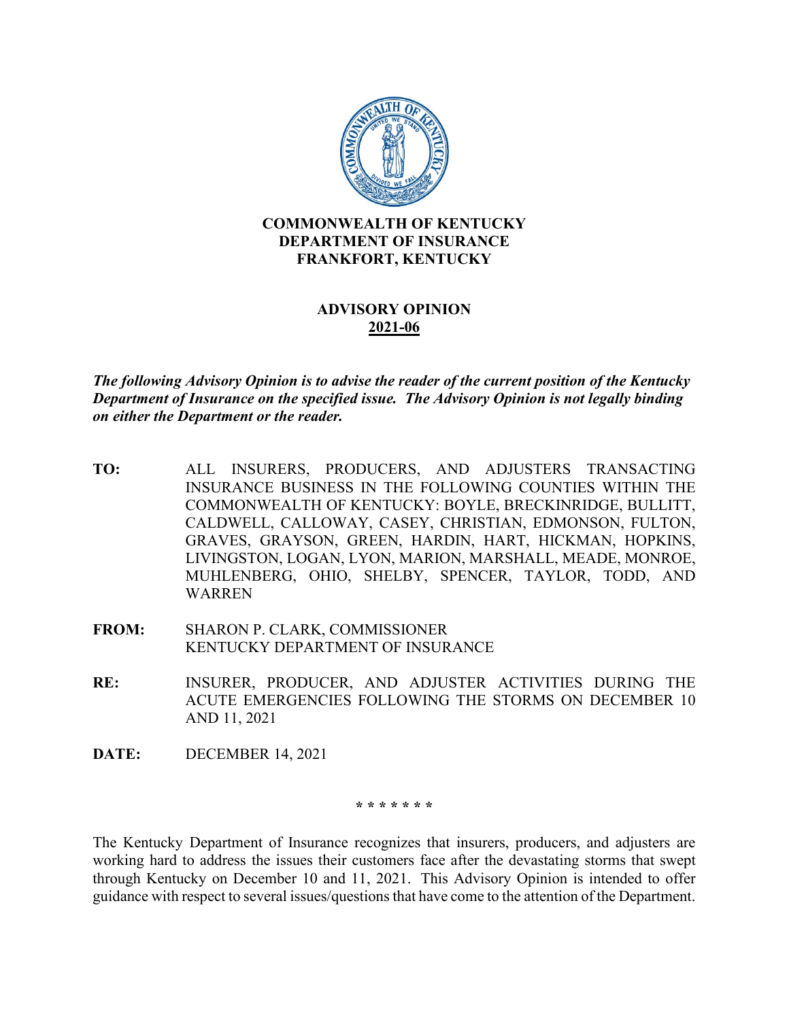

## **ADVISORY OPINION 2021-06**

*The following Advisory Opinion is to advise the reader of the current position of the Kentucky Department of Insurance on the specified issue. The Advisory Opinion is not legally binding on either the Department or the reader.*

- **TO:** ALL INSURERS, PRODUCERS, AND ADJUSTERS TRANSACTING INSURANCE BUSINESS IN THE FOLLOWING COUNTIES WITHIN THE COMMONWEALTH OF KENTUCKY: BOYLE, BRECKINRIDGE, BULLITT, CALDWELL, CALLOWAY, CASEY, CHRISTIAN, EDMONSON, FULTON, GRAVES, GRAYSON, GREEN, HARDIN, HART, HICKMAN, HOPKINS, LIVINGSTON, LOGAN, LYON, MARION, MARSHALL, MEADE, MONROE, MUHLENBERG, OHIO, SHELBY, SPENCER, TAYLOR, TODD, AND WARREN
- **FROM:** SHARON P. CLARK, COMMISSIONER KENTUCKY DEPARTMENT OF INSURANCE
- **RE:** INSURER, PRODUCER, AND ADJUSTER ACTIVITIES DURING THE ACUTE EMERGENCIES FOLLOWING THE STORMS ON DECEMBER 10 AND 11, 2021
- **DATE:** DECEMBER 14, 2021

**\* \* \* \* \* \* \***

The Kentucky Department of Insurance recognizes that insurers, producers, and adjusters are working hard to address the issues their customers face after the devastating storms that swept through Kentucky on December 10 and 11, 2021. This Advisory Opinion is intended to offer guidance with respect to several issues/questions that have come to the attention of the Department.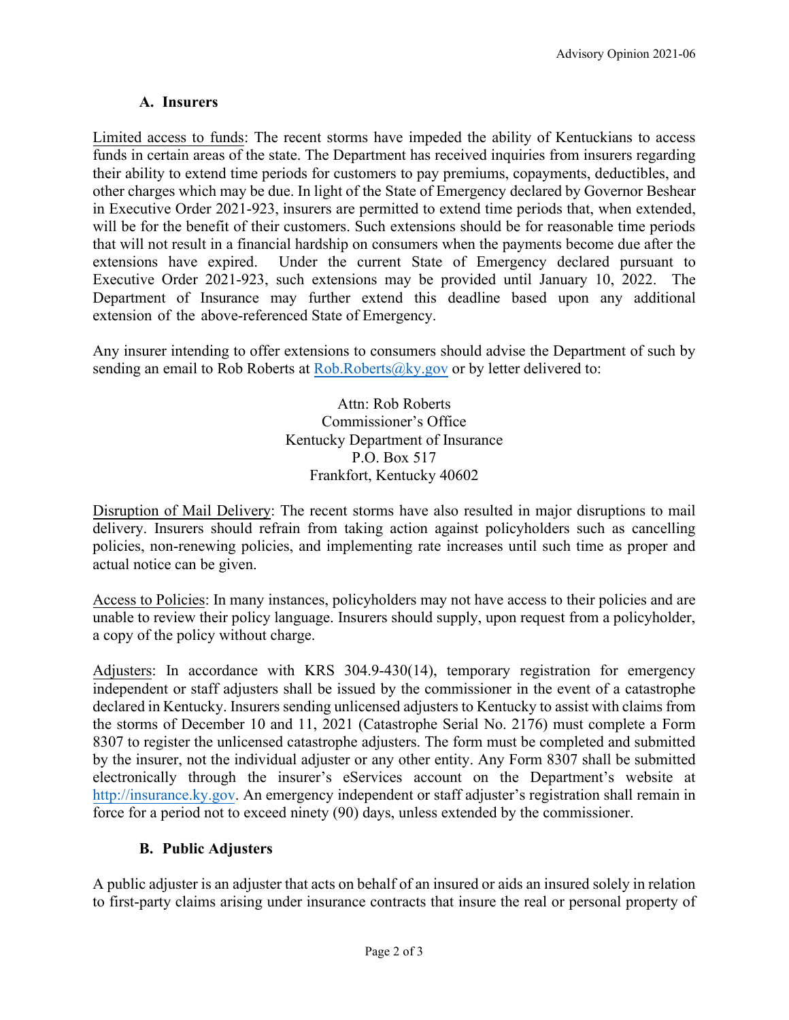## **A. Insurers**

Limited access to funds: The recent storms have impeded the ability of Kentuckians to access funds in certain areas of the state. The Department has received inquiries from insurers regarding their ability to extend time periods for customers to pay premiums, copayments, deductibles, and other charges which may be due. In light of the State of Emergency declared by Governor Beshear in Executive Order 2021-923, insurers are permitted to extend time periods that, when extended, will be for the benefit of their customers. Such extensions should be for reasonable time periods that will not result in a financial hardship on consumers when the payments become due after the extensions have expired. Under the current State of Emergency declared pursuant to Executive Order 2021-923, such extensions may be provided until January 10, 2022. The Department of Insurance may further extend this deadline based upon any additional extension of the above-referenced State of Emergency.

Any insurer intending to offer extensions to consumers should advise the Department of such by sending an email to Rob Roberts at  $Rob.Roberts@ky.gov$  or by letter delivered to:

> Attn: Rob Roberts Commissioner's Office Kentucky Department of Insurance P.O. Box 517 Frankfort, Kentucky 40602

Disruption of Mail Delivery: The recent storms have also resulted in major disruptions to mail delivery. Insurers should refrain from taking action against policyholders such as cancelling policies, non-renewing policies, and implementing rate increases until such time as proper and actual notice can be given.

Access to Policies: In many instances, policyholders may not have access to their policies and are unable to review their policy language. Insurers should supply, upon request from a policyholder, a copy of the policy without charge.

Adjusters: In accordance with KRS 304.9-430(14), temporary registration for emergency independent or staff adjusters shall be issued by the commissioner in the event of a catastrophe declared in Kentucky. Insurers sending unlicensed adjusters to Kentucky to assist with claims from the storms of December 10 and 11, 2021 (Catastrophe Serial No. 2176) must complete a Form 8307 to register the unlicensed catastrophe adjusters. The form must be completed and submitted by the insurer, not the individual adjuster or any other entity. Any Form 8307 shall be submitted electronically through the insurer's eServices account on the Department's website at [http://insurance.ky.gov.](http://insurance.ky.gov/) An emergency independent or staff adjuster's registration shall remain in force for a period not to exceed ninety (90) days, unless extended by the commissioner.

## **B. Public Adjusters**

A public adjuster is an adjuster that acts on behalf of an insured or aids an insured solely in relation to first-party claims arising under insurance contracts that insure the real or personal property of